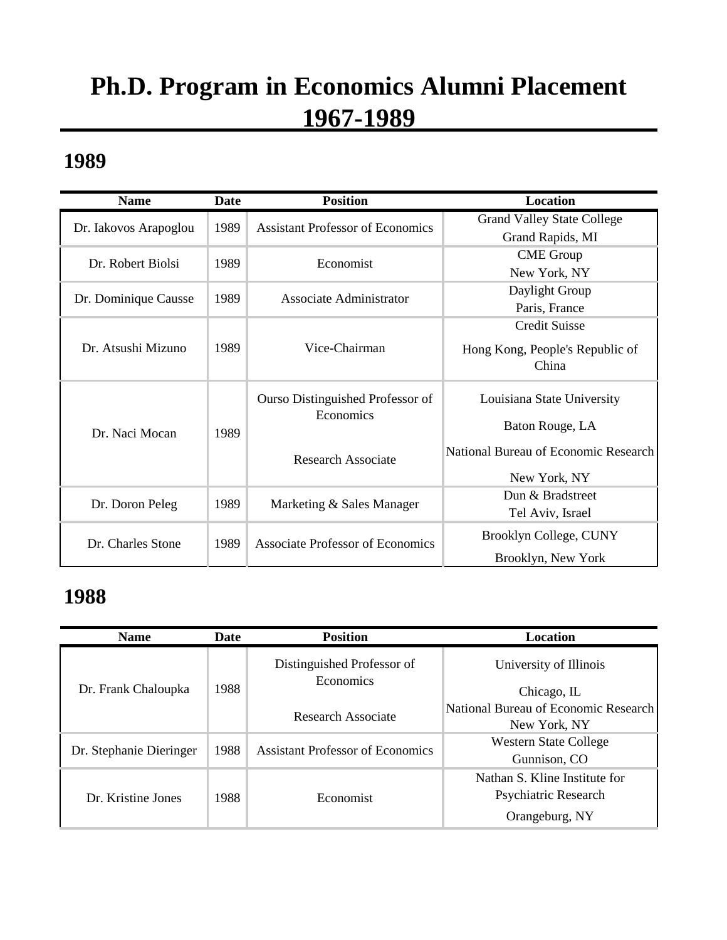# **Ph.D. Program in Economics Alumni Placement 1967-1989**

#### **1989**

| <b>Name</b>           | <b>Date</b> | <b>Position</b>                         | Location                             |
|-----------------------|-------------|-----------------------------------------|--------------------------------------|
| Dr. Iakovos Arapoglou | 1989        | <b>Assistant Professor of Economics</b> | <b>Grand Valley State College</b>    |
|                       |             |                                         | Grand Rapids, MI                     |
| Dr. Robert Biolsi     | 1989        | Economist                               | <b>CME</b> Group                     |
|                       |             |                                         | New York, NY                         |
| Dr. Dominique Causse  | 1989        | Associate Administrator                 | Daylight Group                       |
|                       |             |                                         | Paris, France                        |
|                       |             |                                         | <b>Credit Suisse</b>                 |
| Dr. Atsushi Mizuno    | 1989        | Vice-Chairman                           | Hong Kong, People's Republic of      |
|                       |             |                                         | China                                |
|                       |             |                                         |                                      |
|                       | 1989        | Ourso Distinguished Professor of        | Louisiana State University           |
|                       |             | Economics                               |                                      |
| Dr. Naci Mocan        |             |                                         | Baton Rouge, LA                      |
|                       |             | Research Associate                      | National Bureau of Economic Research |
|                       |             |                                         |                                      |
|                       |             |                                         | New York, NY                         |
| Dr. Doron Peleg       | 1989        | Marketing & Sales Manager               | Dun & Bradstreet                     |
|                       |             |                                         | Tel Aviv, Israel                     |
| Dr. Charles Stone     | 1989        | <b>Associate Professor of Economics</b> | Brooklyn College, CUNY               |
|                       |             |                                         | Brooklyn, New York                   |

| <b>Name</b>             | Date | <b>Position</b>                         | Location                             |
|-------------------------|------|-----------------------------------------|--------------------------------------|
|                         |      | Distinguished Professor of<br>Economics | University of Illinois               |
| Dr. Frank Chaloupka     | 1988 |                                         | Chicago, IL                          |
|                         |      | Research Associate                      | National Bureau of Economic Research |
|                         |      |                                         | New York, NY                         |
| Dr. Stephanie Dieringer | 1988 | <b>Assistant Professor of Economics</b> | <b>Western State College</b>         |
|                         |      |                                         | Gunnison, CO                         |
|                         |      |                                         | Nathan S. Kline Institute for        |
| Dr. Kristine Jones      | 1988 | Economist                               | Psychiatric Research                 |
|                         |      |                                         | Orangeburg, NY                       |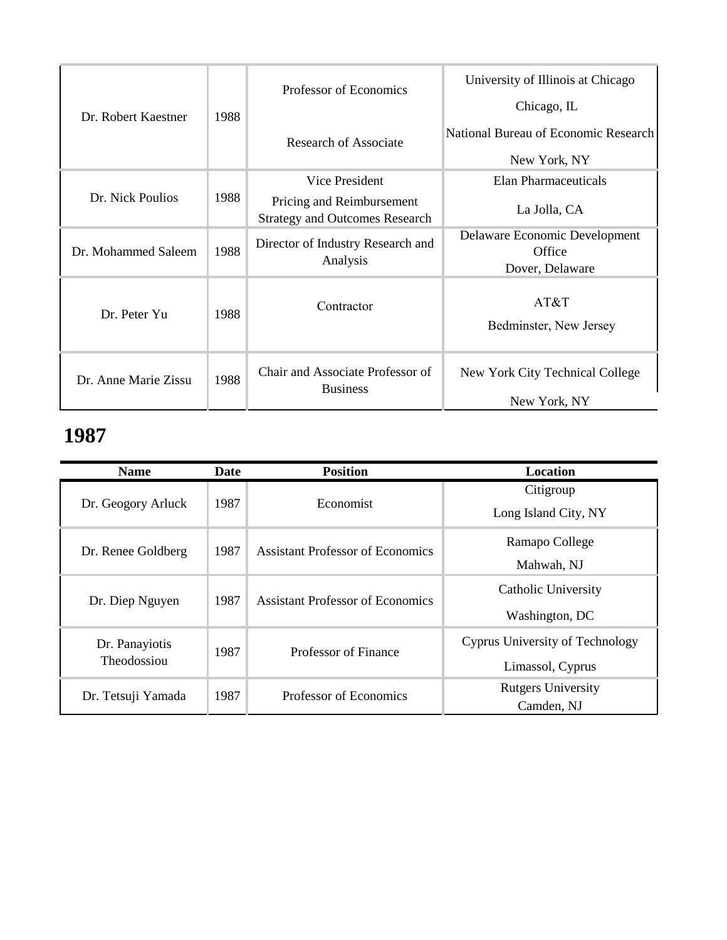| Dr. Robert Kaestner  | 1988 | Professor of Economics                                             | University of Illinois at Chicago<br>Chicago, IL           |
|----------------------|------|--------------------------------------------------------------------|------------------------------------------------------------|
|                      |      | Research of Associate                                              | National Bureau of Economic Research<br>New York, NY       |
|                      |      | Vice President                                                     | Elan Pharmaceuticals                                       |
| Dr. Nick Poulios     | 1988 | Pricing and Reimbursement<br><b>Strategy and Outcomes Research</b> | La Jolla, CA                                               |
| Dr. Mohammed Saleem  | 1988 | Director of Industry Research and<br>Analysis                      | Delaware Economic Development<br>Office<br>Dover, Delaware |
| Dr. Peter Yu         | 1988 | Contractor                                                         | AT&T<br>Bedminster, New Jersey                             |
| Dr. Anne Marie Zissu | 1988 | Chair and Associate Professor of<br><b>Business</b>                | New York City Technical College<br>New York, NY            |

| <b>Name</b>        | Date | <b>Position</b>                         | Location                        |
|--------------------|------|-----------------------------------------|---------------------------------|
|                    |      |                                         | Citigroup                       |
| Dr. Geogory Arluck | 1987 | Economist                               | Long Island City, NY            |
| Dr. Renee Goldberg | 1987 | <b>Assistant Professor of Economics</b> | Ramapo College                  |
|                    |      |                                         | Mahwah, NJ                      |
| Dr. Diep Nguyen    | 1987 | <b>Assistant Professor of Economics</b> | Catholic University             |
|                    |      |                                         | Washington, DC                  |
| Dr. Panayiotis     | 1987 | Professor of Finance                    | Cyprus University of Technology |
| Theodossiou        |      |                                         | Limassol, Cyprus                |
| Dr. Tetsuji Yamada | 1987 | Professor of Economics                  | <b>Rutgers University</b>       |
|                    |      |                                         | Camden, NJ                      |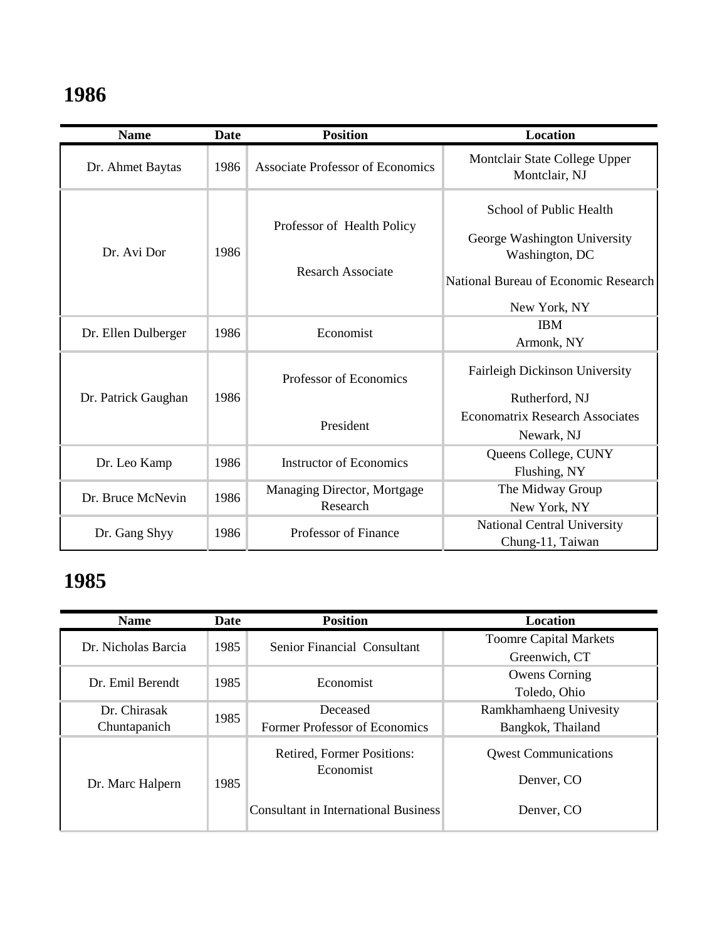| <b>Name</b>         | Date | <b>Position</b>                                        | <b>Location</b>                                                                                                                   |
|---------------------|------|--------------------------------------------------------|-----------------------------------------------------------------------------------------------------------------------------------|
| Dr. Ahmet Baytas    | 1986 | <b>Associate Professor of Economics</b>                | Montclair State College Upper<br>Montclair, NJ                                                                                    |
| Dr. Avi Dor         | 1986 | Professor of Health Policy<br><b>Resarch Associate</b> | School of Public Health<br>George Washington University<br>Washington, DC<br>National Bureau of Economic Research<br>New York, NY |
| Dr. Ellen Dulberger | 1986 | Economist                                              | <b>IBM</b><br>Armonk, NY                                                                                                          |
| Dr. Patrick Gaughan | 1986 | Professor of Economics                                 | Fairleigh Dickinson University<br>Rutherford, NJ                                                                                  |
|                     |      | President                                              | <b>Economatrix Research Associates</b><br>Newark, NJ                                                                              |
| Dr. Leo Kamp        | 1986 | <b>Instructor of Economics</b>                         | Queens College, CUNY<br>Flushing, NY                                                                                              |
| Dr. Bruce McNevin   | 1986 | Managing Director, Mortgage<br>Research                | The Midway Group<br>New York, NY                                                                                                  |
| Dr. Gang Shyy       | 1986 | <b>Professor of Finance</b>                            | National Central University<br>Chung-11, Taiwan                                                                                   |

| <b>Name</b>         | Date | <b>Position</b>                             | Location                      |
|---------------------|------|---------------------------------------------|-------------------------------|
| Dr. Nicholas Barcia | 1985 | Senior Financial Consultant                 | <b>Toomre Capital Markets</b> |
|                     |      |                                             | Greenwich, CT                 |
| Dr. Emil Berendt    | 1985 | Economist                                   | <b>Owens Corning</b>          |
|                     |      |                                             | Toledo, Ohio                  |
| Dr. Chirasak        | 1985 | Deceased                                    | Ramkhamhaeng Univesity        |
| Chuntapanich        |      | Former Professor of Economics               | Bangkok, Thailand             |
| Dr. Marc Halpern    | 1985 | Retired, Former Positions:                  | <b>Owest Communications</b>   |
|                     |      | Economist                                   | Denver, CO                    |
|                     |      | <b>Consultant in International Business</b> | Denver, CO                    |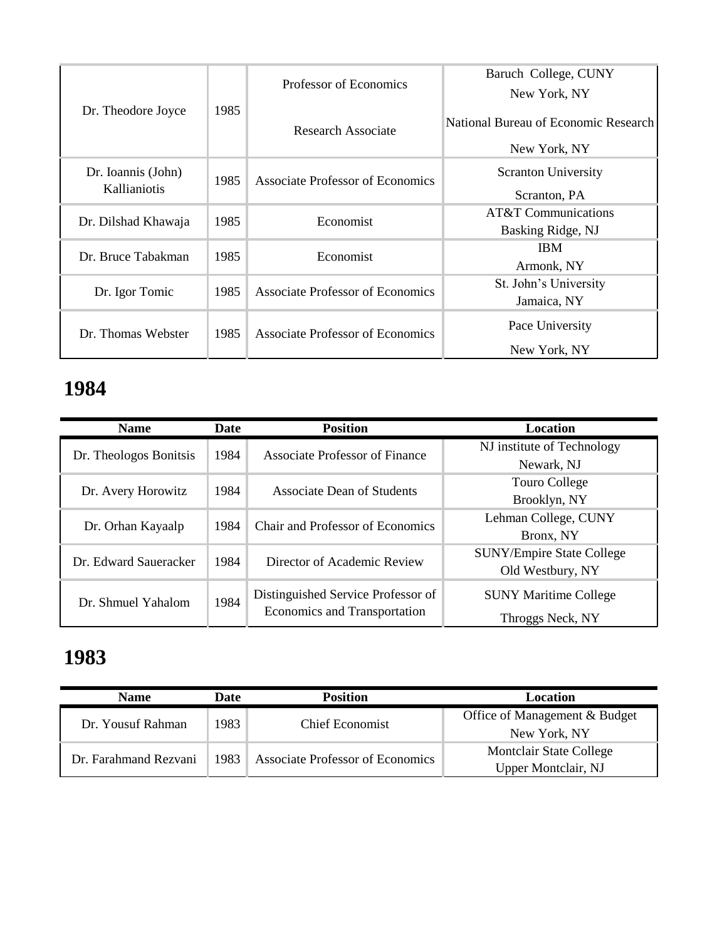|                     |      |                                         | Baruch College, CUNY                 |
|---------------------|------|-----------------------------------------|--------------------------------------|
|                     |      | Professor of Economics                  | New York, NY                         |
| Dr. Theodore Joyce  | 1985 | Research Associate                      | National Bureau of Economic Research |
|                     |      |                                         | New York, NY                         |
| Dr. Ioannis (John)  | 1985 | Associate Professor of Economics        | <b>Scranton University</b>           |
| Kallianiotis        |      |                                         | Scranton, PA                         |
|                     | 1985 | Economist                               | AT&T Communications                  |
| Dr. Dilshad Khawaja |      |                                         | Basking Ridge, NJ                    |
| Dr. Bruce Tabakman  | 1985 | Economist                               | <b>IBM</b>                           |
|                     |      |                                         | Armonk, NY                           |
|                     | 1985 | <b>Associate Professor of Economics</b> | St. John's University                |
| Dr. Igor Tomic      |      |                                         | Jamaica, NY                          |
| Dr. Thomas Webster  | 1985 | Associate Professor of Economics        | Pace University                      |
|                     |      |                                         | New York, NY                         |

| <b>Name</b>            | <b>Date</b> | <b>Position</b>                                                    | Location                         |
|------------------------|-------------|--------------------------------------------------------------------|----------------------------------|
|                        | 1984        | Associate Professor of Finance                                     | NJ institute of Technology       |
| Dr. Theologos Bonitsis |             |                                                                    | Newark, NJ                       |
|                        | 1984        | Associate Dean of Students                                         | Touro College                    |
| Dr. Avery Horowitz     |             |                                                                    | Brooklyn, NY                     |
| Dr. Orhan Kayaalp      | 1984        | <b>Chair and Professor of Economics</b>                            | Lehman College, CUNY             |
|                        |             |                                                                    | Bronx, NY                        |
| Dr. Edward Saueracker  | 1984        | Director of Academic Review                                        | <b>SUNY/Empire State College</b> |
|                        |             |                                                                    | Old Westbury, NY                 |
| Dr. Shmuel Yahalom     | 1984        | Distinguished Service Professor of<br>Economics and Transportation | <b>SUNY Maritime College</b>     |
|                        |             |                                                                    | Throggs Neck, NY                 |

| <b>Name</b>           | Date | <b>Position</b>                         | Location                       |
|-----------------------|------|-----------------------------------------|--------------------------------|
| Dr. Yousuf Rahman     | 1983 | Chief Economist                         | Office of Management & Budget  |
|                       |      |                                         | New York, NY                   |
| Dr. Farahmand Rezvani | 1983 | <b>Associate Professor of Economics</b> | <b>Montclair State College</b> |
|                       |      |                                         | Upper Montclair, NJ            |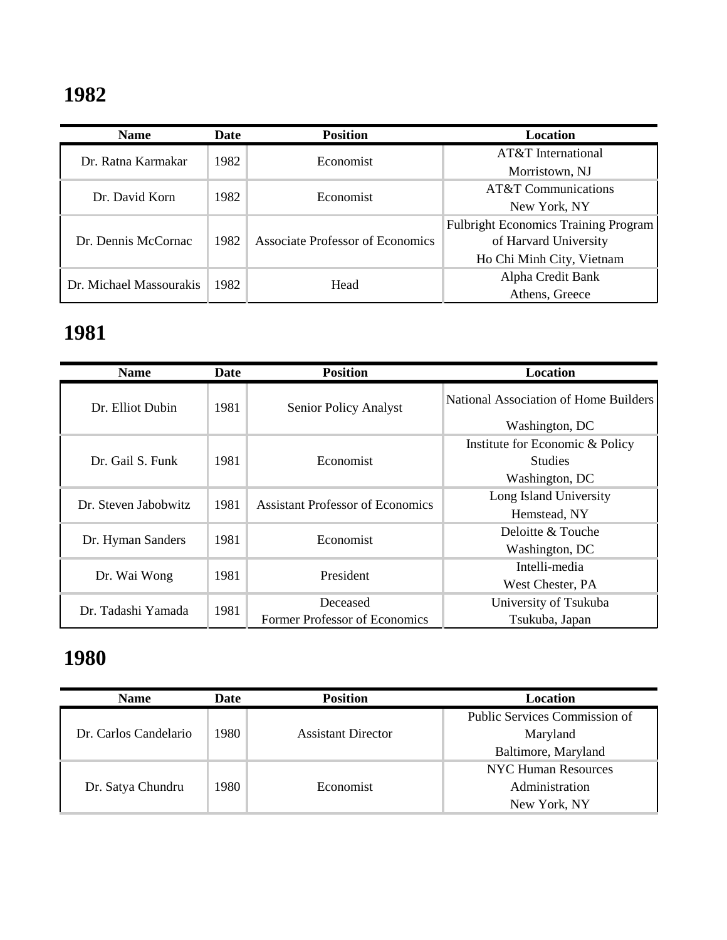| <b>Name</b>             | Date | <b>Position</b>                         | <b>Location</b>                             |
|-------------------------|------|-----------------------------------------|---------------------------------------------|
| Dr. Ratna Karmakar      | 1982 | Economist                               | AT&T International                          |
|                         |      |                                         | Morristown, NJ                              |
| Dr. David Korn          | 1982 | Economist                               | <b>AT&amp;T</b> Communications              |
|                         |      |                                         | New York, NY                                |
| Dr. Dennis McCornac     | 1982 | <b>Associate Professor of Economics</b> | <b>Fulbright Economics Training Program</b> |
|                         |      |                                         | of Harvard University                       |
|                         |      |                                         | Ho Chi Minh City, Vietnam                   |
| Dr. Michael Massourakis | 1982 | Head                                    | Alpha Credit Bank                           |
|                         |      |                                         | Athens, Greece                              |

### **1981**

| <b>Name</b>          | Date | <b>Position</b>                         | Location                              |
|----------------------|------|-----------------------------------------|---------------------------------------|
| Dr. Elliot Dubin     | 1981 | <b>Senior Policy Analyst</b>            | National Association of Home Builders |
|                      |      |                                         | Washington, DC                        |
|                      |      |                                         | Institute for Economic & Policy       |
| Dr. Gail S. Funk     | 1981 | Economist                               | <b>Studies</b>                        |
|                      |      |                                         | Washington, DC                        |
| Dr. Steven Jabobwitz | 1981 | <b>Assistant Professor of Economics</b> | Long Island University                |
|                      |      |                                         | Hemstead, NY                          |
| Dr. Hyman Sanders    | 1981 | Economist                               | Deloitte & Touche                     |
|                      |      |                                         | Washington, DC                        |
| Dr. Wai Wong         | 1981 | President                               | Intelli-media                         |
|                      |      |                                         | West Chester, PA                      |
|                      | 1981 | Deceased                                | University of Tsukuba                 |
| Dr. Tadashi Yamada   |      | Former Professor of Economics           | Tsukuba, Japan                        |

| <b>Name</b>           | Date  | <b>Position</b>           | Location                      |
|-----------------------|-------|---------------------------|-------------------------------|
| Dr. Carlos Candelario | 1980- | <b>Assistant Director</b> | Public Services Commission of |
|                       |       |                           | Maryland                      |
|                       |       |                           | Baltimore, Maryland           |
|                       |       |                           | NYC Human Resources           |
| Dr. Satya Chundru     | 1980- | Economist                 | Administration                |
|                       |       |                           | New York, NY                  |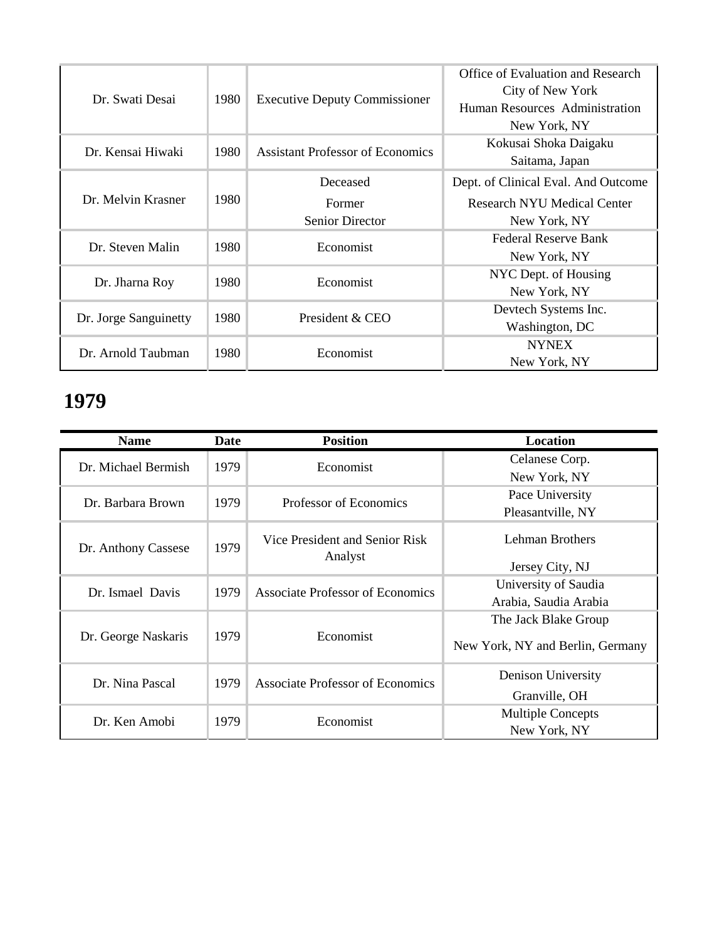| Dr. Swati Desai       | 1980 | <b>Executive Deputy Commissioner</b>    | Office of Evaluation and Research<br>City of New York<br>Human Resources Administration<br>New York, NY |
|-----------------------|------|-----------------------------------------|---------------------------------------------------------------------------------------------------------|
| Dr. Kensai Hiwaki     | 1980 | <b>Assistant Professor of Economics</b> | Kokusai Shoka Daigaku<br>Saitama, Japan                                                                 |
|                       | 1980 | Deceased                                | Dept. of Clinical Eval. And Outcome                                                                     |
| Dr. Melvin Krasner    |      | Former                                  | <b>Research NYU Medical Center</b>                                                                      |
|                       |      | <b>Senior Director</b>                  | New York, NY                                                                                            |
| Dr. Steven Malin      | 1980 | Economist                               | Federal Reserve Bank                                                                                    |
|                       |      |                                         | New York, NY                                                                                            |
|                       | 1980 | Economist                               | NYC Dept. of Housing                                                                                    |
| Dr. Jharna Roy        |      |                                         | New York, NY                                                                                            |
|                       | 1980 | President & CEO                         | Devtech Systems Inc.                                                                                    |
| Dr. Jorge Sanguinetty |      |                                         | Washington, DC                                                                                          |
| Dr. Arnold Taubman    |      | Economist                               | <b>NYNEX</b>                                                                                            |
|                       | 1980 |                                         | New York, NY                                                                                            |

| <b>Name</b>         | Date | <b>Position</b>                         | Location                         |
|---------------------|------|-----------------------------------------|----------------------------------|
| Dr. Michael Bermish | 1979 | Economist                               | Celanese Corp.                   |
|                     |      |                                         | New York, NY                     |
| Dr. Barbara Brown   | 1979 | Professor of Economics                  | Pace University                  |
|                     |      |                                         | Pleasantville, NY                |
| Dr. Anthony Cassese | 1979 | Vice President and Senior Risk          | Lehman Brothers                  |
|                     |      | Analyst                                 | Jersey City, NJ                  |
|                     |      | Associate Professor of Economics        | University of Saudia             |
| Dr. Ismael Davis    | 1979 |                                         | Arabia, Saudia Arabia            |
|                     |      |                                         | The Jack Blake Group             |
| Dr. George Naskaris | 1979 | Economist                               | New York, NY and Berlin, Germany |
|                     |      |                                         | Denison University               |
| Dr. Nina Pascal     | 1979 | <b>Associate Professor of Economics</b> | Granville, OH                    |
|                     | 1979 |                                         | <b>Multiple Concepts</b>         |
| Dr. Ken Amobi       |      | Economist                               | New York, NY                     |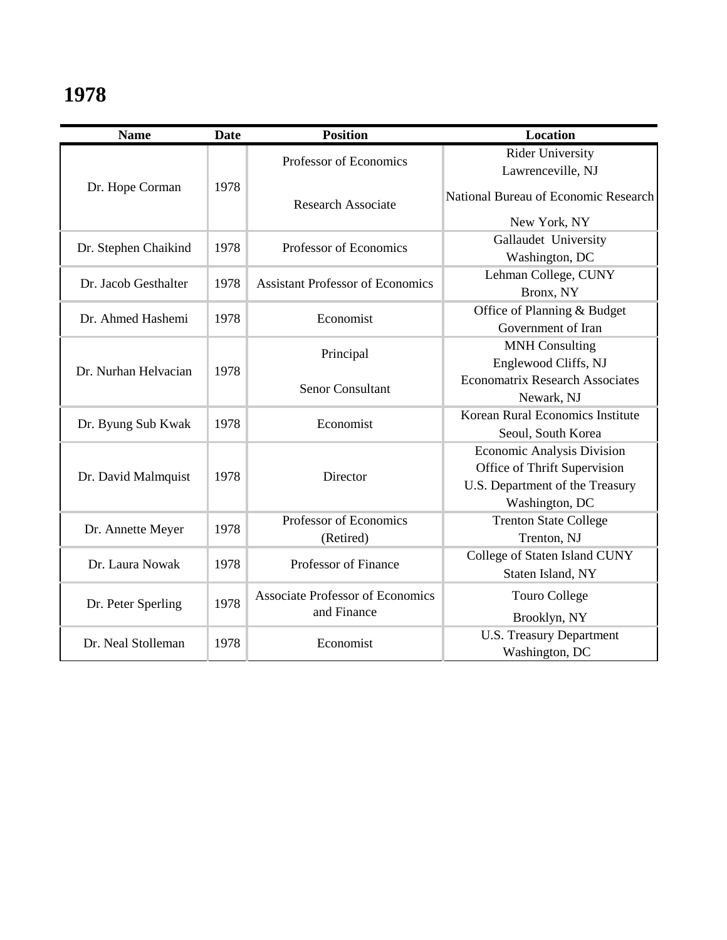| <b>Name</b>          | <b>Date</b> | <b>Position</b>                                        | Location                               |
|----------------------|-------------|--------------------------------------------------------|----------------------------------------|
|                      |             | Professor of Economics                                 | <b>Rider University</b>                |
|                      |             |                                                        | Lawrenceville, NJ                      |
| Dr. Hope Corman      | 1978        | <b>Research Associate</b>                              | National Bureau of Economic Research   |
|                      |             |                                                        | New York, NY                           |
| Dr. Stephen Chaikind | 1978        | Professor of Economics                                 | Gallaudet University                   |
|                      |             |                                                        | Washington, DC                         |
| Dr. Jacob Gesthalter | 1978        | <b>Assistant Professor of Economics</b>                | Lehman College, CUNY                   |
|                      |             |                                                        | Bronx, NY                              |
| Dr. Ahmed Hashemi    | 1978        | Economist                                              | Office of Planning & Budget            |
|                      |             |                                                        | Government of Iran                     |
|                      |             | Principal                                              | <b>MNH Consulting</b>                  |
| Dr. Nurhan Helvacian | 1978        |                                                        | Englewood Cliffs, NJ                   |
|                      |             | <b>Senor Consultant</b>                                | <b>Economatrix Research Associates</b> |
|                      |             |                                                        | Newark, NJ                             |
|                      | 1978        | Economist                                              | Korean Rural Economics Institute       |
| Dr. Byung Sub Kwak   |             |                                                        | Seoul, South Korea                     |
|                      |             | Director                                               | <b>Economic Analysis Division</b>      |
| Dr. David Malmquist  | 1978        |                                                        | Office of Thrift Supervision           |
|                      |             |                                                        | U.S. Department of the Treasury        |
|                      |             |                                                        | Washington, DC                         |
|                      | 1978        | Professor of Economics                                 | <b>Trenton State College</b>           |
| Dr. Annette Meyer    |             | (Retired)                                              | Trenton, NJ                            |
| Dr. Laura Nowak      | 1978        | Professor of Finance                                   | College of Staten Island CUNY          |
|                      |             |                                                        | Staten Island, NY                      |
| Dr. Peter Sperling   | 1978        | <b>Associate Professor of Economics</b><br>and Finance | <b>Touro College</b>                   |
|                      |             |                                                        | Brooklyn, NY                           |
| Dr. Neal Stolleman   | 1978        | Economist                                              | <b>U.S. Treasury Department</b>        |
|                      |             |                                                        | Washington, DC                         |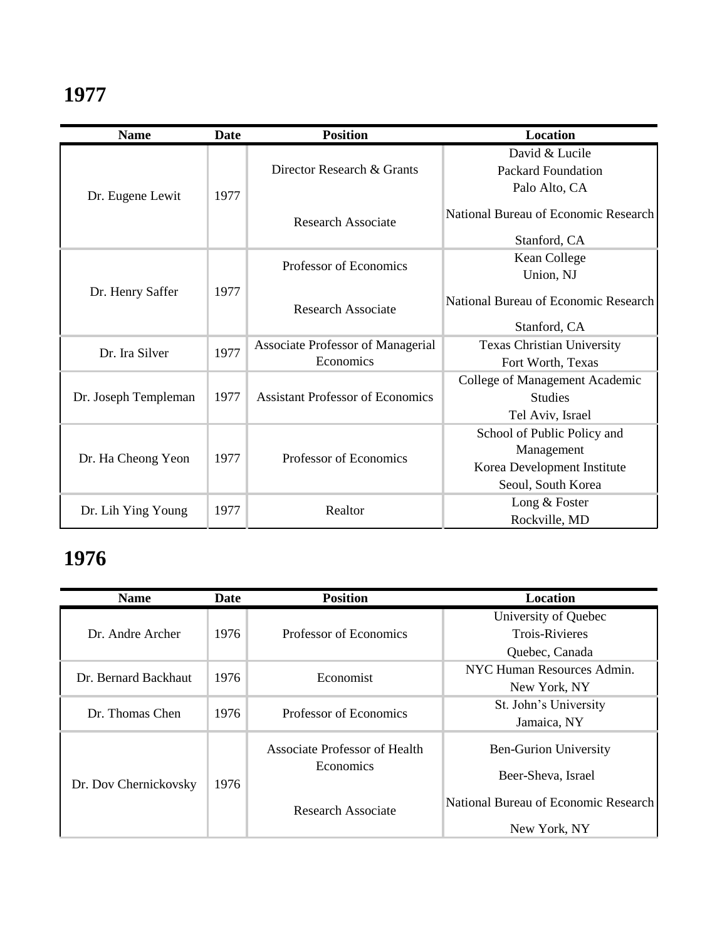| <b>Name</b>          | Date | <b>Position</b>                         | <b>Location</b>                      |
|----------------------|------|-----------------------------------------|--------------------------------------|
|                      |      |                                         | David & Lucile                       |
|                      |      | Director Research & Grants              | <b>Packard Foundation</b>            |
| Dr. Eugene Lewit     | 1977 |                                         | Palo Alto, CA                        |
|                      |      | <b>Research Associate</b>               | National Bureau of Economic Research |
|                      |      |                                         | Stanford, CA                         |
|                      |      | Professor of Economics                  | Kean College                         |
|                      |      |                                         | Union, NJ                            |
| Dr. Henry Saffer     | 1977 | <b>Research Associate</b>               | National Bureau of Economic Research |
|                      |      |                                         | Stanford, CA                         |
| Dr. Ira Silver       | 1977 | Associate Professor of Managerial       | <b>Texas Christian University</b>    |
|                      |      | Economics                               | Fort Worth, Texas                    |
|                      |      |                                         | College of Management Academic       |
| Dr. Joseph Templeman | 1977 | <b>Assistant Professor of Economics</b> | <b>Studies</b>                       |
|                      |      |                                         | Tel Aviv, Israel                     |
| Dr. Ha Cheong Yeon   |      |                                         | School of Public Policy and          |
|                      | 1977 | Professor of Economics                  | Management                           |
|                      |      |                                         | Korea Development Institute          |
|                      |      |                                         | Seoul, South Korea                   |
|                      | 1977 | Realtor                                 | Long & Foster                        |
| Dr. Lih Ying Young   |      |                                         | Rockville, MD                        |

| <b>Name</b>           | Date | <b>Position</b>                                   | Location                             |
|-----------------------|------|---------------------------------------------------|--------------------------------------|
|                       |      |                                                   | University of Quebec                 |
| Dr. Andre Archer      | 1976 | Professor of Economics                            | <b>Trois-Rivieres</b>                |
|                       |      |                                                   | Quebec, Canada                       |
| Dr. Bernard Backhaut  | 1976 | Economist                                         | NYC Human Resources Admin.           |
|                       |      |                                                   | New York, NY                         |
| Dr. Thomas Chen       | 1976 | Professor of Economics                            | St. John's University                |
|                       |      |                                                   | Jamaica, NY                          |
| Dr. Dov Chernickovsky | 1976 | Associate Professor of Health<br><b>Economics</b> | <b>Ben-Gurion University</b>         |
|                       |      |                                                   | Beer-Sheva, Israel                   |
|                       |      | Research Associate                                | National Bureau of Economic Research |
|                       |      |                                                   | New York, NY                         |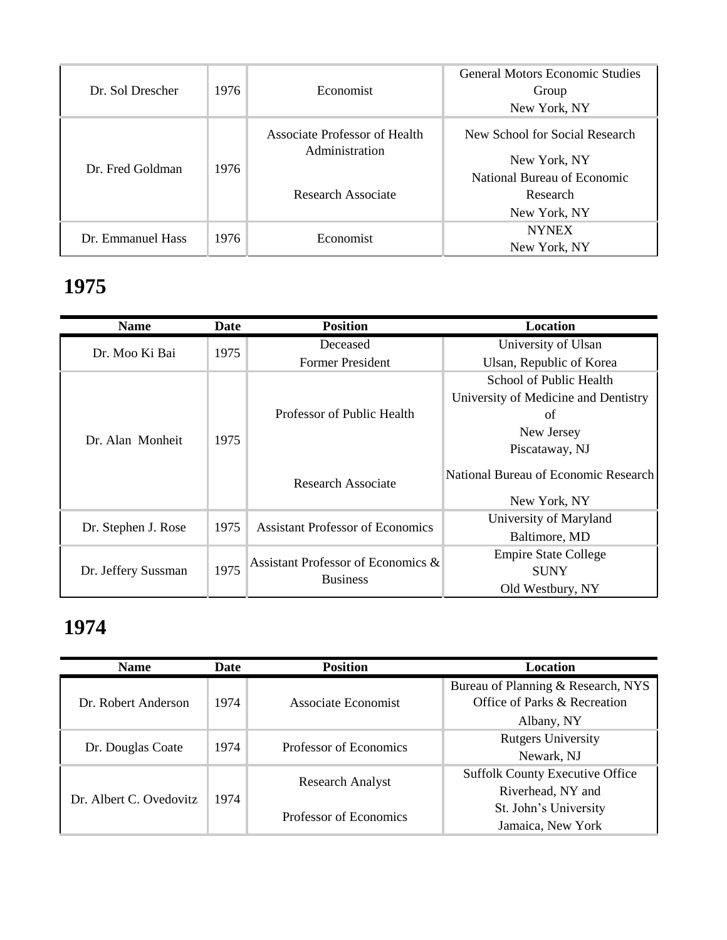| Dr. Sol Drescher  | 1976 | Economist                                       | <b>General Motors Economic Studies</b><br>Group<br>New York, NY |
|-------------------|------|-------------------------------------------------|-----------------------------------------------------------------|
|                   |      | Associate Professor of Health<br>Administration | New School for Social Research<br>New York, NY                  |
| Dr. Fred Goldman  | 1976 | Research Associate                              | National Bureau of Economic<br>Research<br>New York, NY         |
| Dr. Emmanuel Hass | 1976 | Economist                                       | <b>NYNEX</b><br>New York, NY                                    |

| <b>Name</b>         | Date | <b>Position</b>                                       | Location                             |
|---------------------|------|-------------------------------------------------------|--------------------------------------|
| Dr. Moo Ki Bai      | 1975 | Deceased                                              | University of Ulsan                  |
|                     |      | <b>Former President</b>                               | Ulsan, Republic of Korea             |
|                     |      |                                                       | School of Public Health              |
|                     |      |                                                       | University of Medicine and Dentistry |
|                     |      | Professor of Public Health                            | of                                   |
| Dr. Alan Monheit    | 1975 |                                                       | New Jersey                           |
|                     |      |                                                       | Piscataway, NJ                       |
|                     |      | Research Associate                                    | National Bureau of Economic Research |
|                     |      |                                                       | New York, NY                         |
|                     | 1975 | <b>Assistant Professor of Economics</b>               | University of Maryland               |
| Dr. Stephen J. Rose |      |                                                       | Baltimore, MD                        |
| Dr. Jeffery Sussman |      | Assistant Professor of Economics &<br><b>Business</b> | <b>Empire State College</b>          |
|                     | 1975 |                                                       | <b>SUNY</b>                          |
|                     |      |                                                       | Old Westbury, NY                     |

| <b>Name</b>             | Date | <b>Position</b>         | Location                               |
|-------------------------|------|-------------------------|----------------------------------------|
|                         |      |                         | Bureau of Planning & Research, NYS     |
| Dr. Robert Anderson     | 1974 | Associate Economist     | Office of Parks & Recreation           |
|                         |      |                         | Albany, NY                             |
| Dr. Douglas Coate       | 1974 | Professor of Economics  | <b>Rutgers University</b>              |
|                         |      |                         | Newark, NJ                             |
| Dr. Albert C. Ovedovitz | 1974 | <b>Research Analyst</b> | <b>Suffolk County Executive Office</b> |
|                         |      |                         | Riverhead, NY and                      |
|                         |      | Professor of Economics  | St. John's University                  |
|                         |      |                         | Jamaica, New York                      |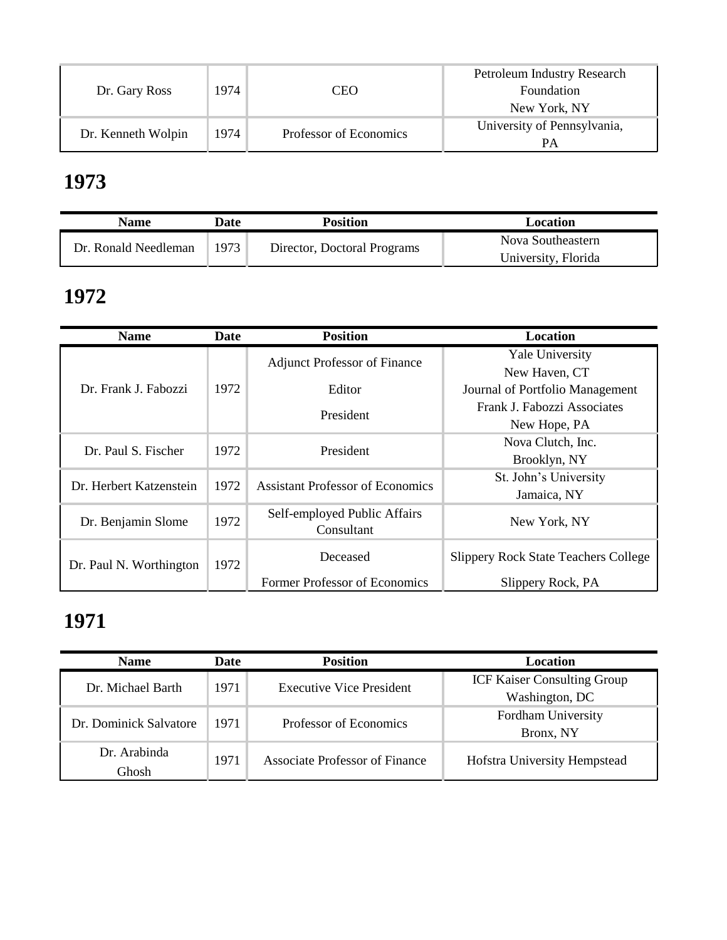| Dr. Gary Ross      | 1974 | CEO                    | Petroleum Industry Research<br>Foundation<br>New York, NY |
|--------------------|------|------------------------|-----------------------------------------------------------|
| Dr. Kenneth Wolpin | 1974 | Professor of Economics | University of Pennsylvania,                               |

| Name                 | Date | <b>Position</b>             | Location            |
|----------------------|------|-----------------------------|---------------------|
| Dr. Ronald Needleman | 1973 | Director, Doctoral Programs | Nova Southeastern   |
|                      |      |                             | University, Florida |

### **1972**

| <b>Name</b>             | Date | <b>Position</b>                            | Location                                    |
|-------------------------|------|--------------------------------------------|---------------------------------------------|
|                         |      | <b>Adjunct Professor of Finance</b>        | <b>Yale University</b>                      |
|                         |      |                                            | New Haven, CT                               |
| Dr. Frank J. Fabozzi    | 1972 | Editor                                     | Journal of Portfolio Management             |
|                         |      | President                                  | Frank J. Fabozzi Associates                 |
|                         |      |                                            | New Hope, PA                                |
| Dr. Paul S. Fischer     | 1972 | President                                  | Nova Clutch, Inc.                           |
|                         |      |                                            | Brooklyn, NY                                |
| Dr. Herbert Katzenstein | 1972 | <b>Assistant Professor of Economics</b>    | St. John's University                       |
|                         |      |                                            | Jamaica, NY                                 |
| Dr. Benjamin Slome      | 1972 | Self-employed Public Affairs<br>Consultant | New York, NY                                |
|                         |      |                                            |                                             |
| Dr. Paul N. Worthington | 1972 | Deceased                                   | <b>Slippery Rock State Teachers College</b> |
|                         |      | Former Professor of Economics              | Slippery Rock, PA                           |

| <b>Name</b>            | Date | <b>Position</b>                 | Location                           |
|------------------------|------|---------------------------------|------------------------------------|
| Dr. Michael Barth      | 1971 | <b>Executive Vice President</b> | <b>ICF Kaiser Consulting Group</b> |
|                        |      |                                 | Washington, DC                     |
| Dr. Dominick Salvatore | 1971 | Professor of Economics          | Fordham University                 |
|                        |      |                                 | Bronx, NY                          |
| Dr. Arabinda           | 1971 | Associate Professor of Finance  |                                    |
| Ghosh                  |      |                                 | Hofstra University Hempstead       |